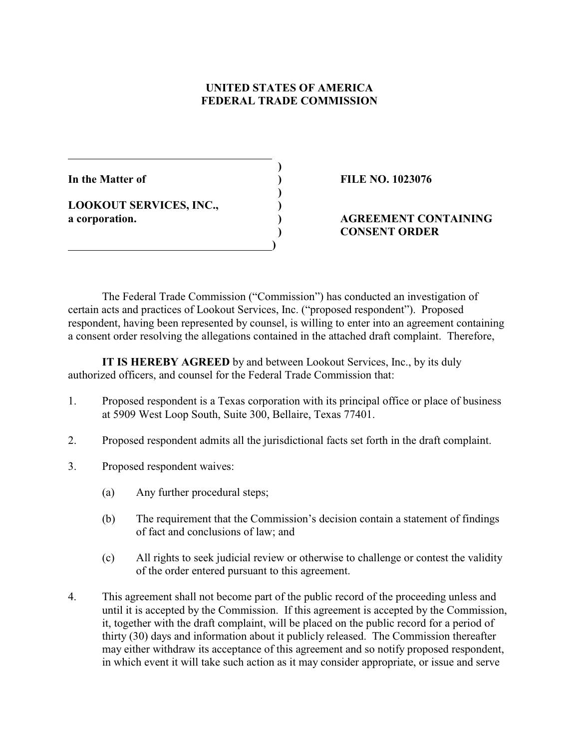# **UNITED STATES OF AMERICA FEDERAL TRADE COMMISSION**

 **)**

 **)**

**LOOKOUT SERVICES, INC., )**

 **)**

**In the Matter of ) FILE NO. 1023076**

# **a corporation. ) AGREEMENT CONTAINING ) CONSENT ORDER**

The Federal Trade Commission ("Commission") has conducted an investigation of certain acts and practices of Lookout Services, Inc. ("proposed respondent"). Proposed respondent, having been represented by counsel, is willing to enter into an agreement containing a consent order resolving the allegations contained in the attached draft complaint. Therefore,

**IT IS HEREBY AGREED** by and between Lookout Services, Inc., by its duly authorized officers, and counsel for the Federal Trade Commission that:

- 1. Proposed respondent is a Texas corporation with its principal office or place of business at 5909 West Loop South, Suite 300, Bellaire, Texas 77401.
- 2. Proposed respondent admits all the jurisdictional facts set forth in the draft complaint.
- 3. Proposed respondent waives:
	- (a) Any further procedural steps;
	- (b) The requirement that the Commission's decision contain a statement of findings of fact and conclusions of law; and
	- (c) All rights to seek judicial review or otherwise to challenge or contest the validity of the order entered pursuant to this agreement.
- 4. This agreement shall not become part of the public record of the proceeding unless and until it is accepted by the Commission. If this agreement is accepted by the Commission, it, together with the draft complaint, will be placed on the public record for a period of thirty (30) days and information about it publicly released. The Commission thereafter may either withdraw its acceptance of this agreement and so notify proposed respondent, in which event it will take such action as it may consider appropriate, or issue and serve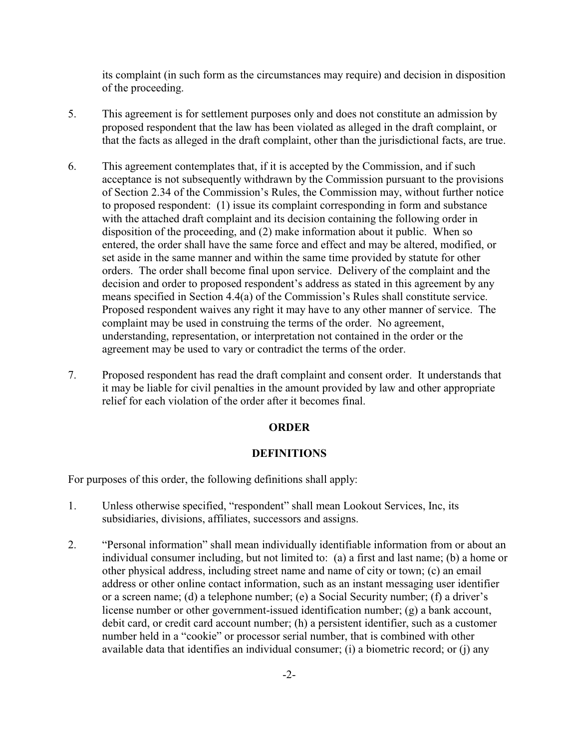its complaint (in such form as the circumstances may require) and decision in disposition of the proceeding.

- 5. This agreement is for settlement purposes only and does not constitute an admission by proposed respondent that the law has been violated as alleged in the draft complaint, or that the facts as alleged in the draft complaint, other than the jurisdictional facts, are true.
- 6. This agreement contemplates that, if it is accepted by the Commission, and if such acceptance is not subsequently withdrawn by the Commission pursuant to the provisions of Section 2.34 of the Commission's Rules, the Commission may, without further notice to proposed respondent: (1) issue its complaint corresponding in form and substance with the attached draft complaint and its decision containing the following order in disposition of the proceeding, and (2) make information about it public. When so entered, the order shall have the same force and effect and may be altered, modified, or set aside in the same manner and within the same time provided by statute for other orders. The order shall become final upon service. Delivery of the complaint and the decision and order to proposed respondent's address as stated in this agreement by any means specified in Section 4.4(a) of the Commission's Rules shall constitute service. Proposed respondent waives any right it may have to any other manner of service. The complaint may be used in construing the terms of the order. No agreement, understanding, representation, or interpretation not contained in the order or the agreement may be used to vary or contradict the terms of the order.
- 7. Proposed respondent has read the draft complaint and consent order. It understands that it may be liable for civil penalties in the amount provided by law and other appropriate relief for each violation of the order after it becomes final.

#### **ORDER**

### **DEFINITIONS**

For purposes of this order, the following definitions shall apply:

- 1. Unless otherwise specified, "respondent" shall mean Lookout Services, Inc, its subsidiaries, divisions, affiliates, successors and assigns.
- 2. "Personal information" shall mean individually identifiable information from or about an individual consumer including, but not limited to: (a) a first and last name; (b) a home or other physical address, including street name and name of city or town; (c) an email address or other online contact information, such as an instant messaging user identifier or a screen name; (d) a telephone number; (e) a Social Security number; (f) a driver's license number or other government-issued identification number; (g) a bank account, debit card, or credit card account number; (h) a persistent identifier, such as a customer number held in a "cookie" or processor serial number, that is combined with other available data that identifies an individual consumer; (i) a biometric record; or (j) any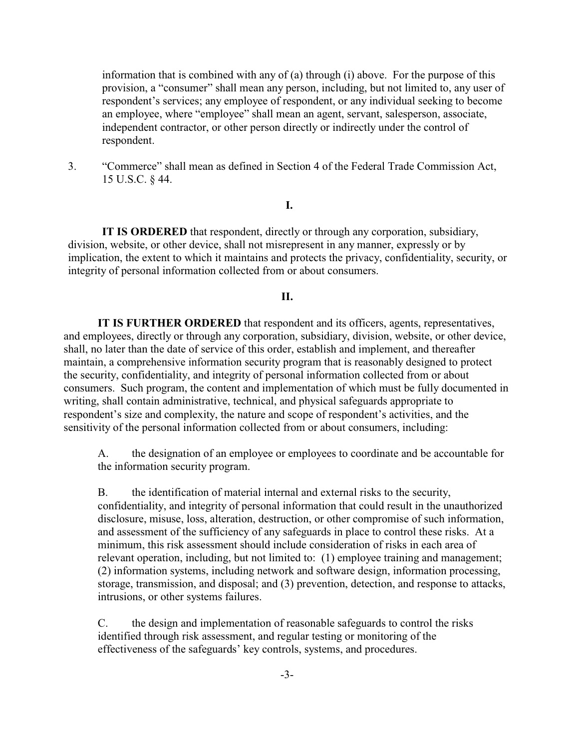information that is combined with any of (a) through (i) above. For the purpose of this provision, a "consumer" shall mean any person, including, but not limited to, any user of respondent's services; any employee of respondent, or any individual seeking to become an employee, where "employee" shall mean an agent, servant, salesperson, associate, independent contractor, or other person directly or indirectly under the control of respondent.

3. "Commerce" shall mean as defined in Section 4 of the Federal Trade Commission Act, 15 U.S.C. § 44.

## **I.**

**IT IS ORDERED** that respondent, directly or through any corporation, subsidiary, division, website, or other device, shall not misrepresent in any manner, expressly or by implication, the extent to which it maintains and protects the privacy, confidentiality, security, or integrity of personal information collected from or about consumers.

### **II.**

**IT IS FURTHER ORDERED** that respondent and its officers, agents, representatives, and employees, directly or through any corporation, subsidiary, division, website, or other device, shall, no later than the date of service of this order, establish and implement, and thereafter maintain, a comprehensive information security program that is reasonably designed to protect the security, confidentiality, and integrity of personal information collected from or about consumers. Such program, the content and implementation of which must be fully documented in writing, shall contain administrative, technical, and physical safeguards appropriate to respondent's size and complexity, the nature and scope of respondent's activities, and the sensitivity of the personal information collected from or about consumers, including:

A. the designation of an employee or employees to coordinate and be accountable for the information security program.

B. the identification of material internal and external risks to the security, confidentiality, and integrity of personal information that could result in the unauthorized disclosure, misuse, loss, alteration, destruction, or other compromise of such information, and assessment of the sufficiency of any safeguards in place to control these risks. At a minimum, this risk assessment should include consideration of risks in each area of relevant operation, including, but not limited to: (1) employee training and management; (2) information systems, including network and software design, information processing, storage, transmission, and disposal; and (3) prevention, detection, and response to attacks, intrusions, or other systems failures.

C. the design and implementation of reasonable safeguards to control the risks identified through risk assessment, and regular testing or monitoring of the effectiveness of the safeguards' key controls, systems, and procedures.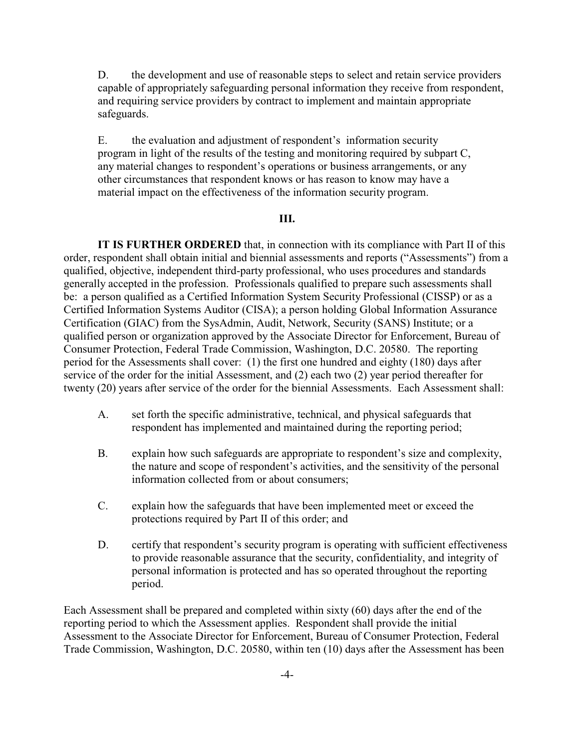D. the development and use of reasonable steps to select and retain service providers capable of appropriately safeguarding personal information they receive from respondent, and requiring service providers by contract to implement and maintain appropriate safeguards.

E. the evaluation and adjustment of respondent's information security program in light of the results of the testing and monitoring required by subpart C, any material changes to respondent's operations or business arrangements, or any other circumstances that respondent knows or has reason to know may have a material impact on the effectiveness of the information security program.

### **III.**

**IT IS FURTHER ORDERED** that, in connection with its compliance with Part II of this order, respondent shall obtain initial and biennial assessments and reports ("Assessments") from a qualified, objective, independent third-party professional, who uses procedures and standards generally accepted in the profession. Professionals qualified to prepare such assessments shall be: a person qualified as a Certified Information System Security Professional (CISSP) or as a Certified Information Systems Auditor (CISA); a person holding Global Information Assurance Certification (GIAC) from the SysAdmin, Audit, Network, Security (SANS) Institute; or a qualified person or organization approved by the Associate Director for Enforcement, Bureau of Consumer Protection, Federal Trade Commission, Washington, D.C. 20580. The reporting period for the Assessments shall cover: (1) the first one hundred and eighty (180) days after service of the order for the initial Assessment, and (2) each two (2) year period thereafter for twenty (20) years after service of the order for the biennial Assessments. Each Assessment shall:

- A. set forth the specific administrative, technical, and physical safeguards that respondent has implemented and maintained during the reporting period;
- B. explain how such safeguards are appropriate to respondent's size and complexity, the nature and scope of respondent's activities, and the sensitivity of the personal information collected from or about consumers;
- C. explain how the safeguards that have been implemented meet or exceed the protections required by Part II of this order; and
- D. certify that respondent's security program is operating with sufficient effectiveness to provide reasonable assurance that the security, confidentiality, and integrity of personal information is protected and has so operated throughout the reporting period.

Each Assessment shall be prepared and completed within sixty (60) days after the end of the reporting period to which the Assessment applies. Respondent shall provide the initial Assessment to the Associate Director for Enforcement, Bureau of Consumer Protection, Federal Trade Commission, Washington, D.C. 20580, within ten (10) days after the Assessment has been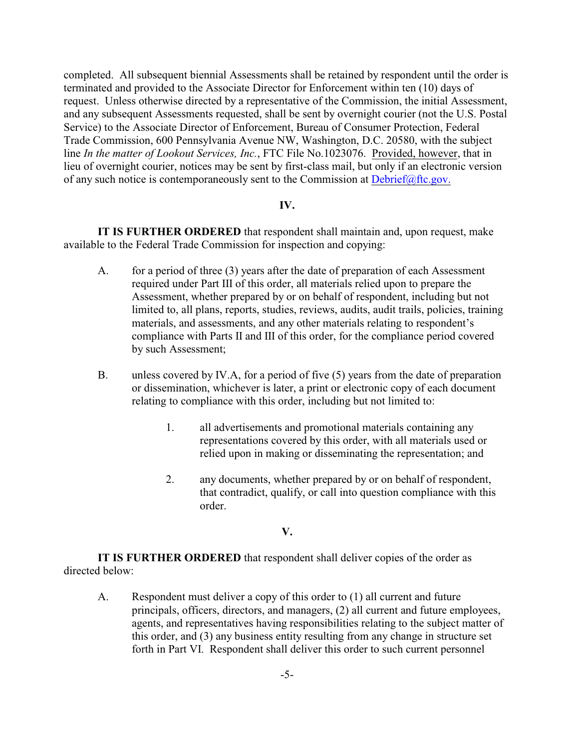completed. All subsequent biennial Assessments shall be retained by respondent until the order is terminated and provided to the Associate Director for Enforcement within ten (10) days of request. Unless otherwise directed by a representative of the Commission, the initial Assessment, and any subsequent Assessments requested, shall be sent by overnight courier (not the U.S. Postal Service) to the Associate Director of Enforcement, Bureau of Consumer Protection, Federal Trade Commission, 600 Pennsylvania Avenue NW, Washington, D.C. 20580, with the subject line *In the matter of Lookout Services, Inc.*, FTC File No.1023076. Provided, however, that in lieu of overnight courier, notices may be sent by first-class mail, but only if an electronic version of any such notice is contemporaneously sent to the Commission at [Debrief@ftc.gov.](mailto:Debrief@ftc.gov.)

#### **IV.**

**IT IS FURTHER ORDERED** that respondent shall maintain and, upon request, make available to the Federal Trade Commission for inspection and copying:

- A. for a period of three (3) years after the date of preparation of each Assessment required under Part III of this order, all materials relied upon to prepare the Assessment, whether prepared by or on behalf of respondent, including but not limited to, all plans, reports, studies, reviews, audits, audit trails, policies, training materials, and assessments, and any other materials relating to respondent's compliance with Parts II and III of this order, for the compliance period covered by such Assessment;
- B. unless covered by IV.A, for a period of five (5) years from the date of preparation or dissemination, whichever is later, a print or electronic copy of each document relating to compliance with this order, including but not limited to:
	- 1. all advertisements and promotional materials containing any representations covered by this order, with all materials used or relied upon in making or disseminating the representation; and
	- 2. any documents, whether prepared by or on behalf of respondent, that contradict, qualify, or call into question compliance with this order.

#### **V.**

**IT IS FURTHER ORDERED** that respondent shall deliver copies of the order as directed below:

A. Respondent must deliver a copy of this order to (1) all current and future principals, officers, directors, and managers, (2) all current and future employees, agents, and representatives having responsibilities relating to the subject matter of this order, and (3) any business entity resulting from any change in structure set forth in Part VI. Respondent shall deliver this order to such current personnel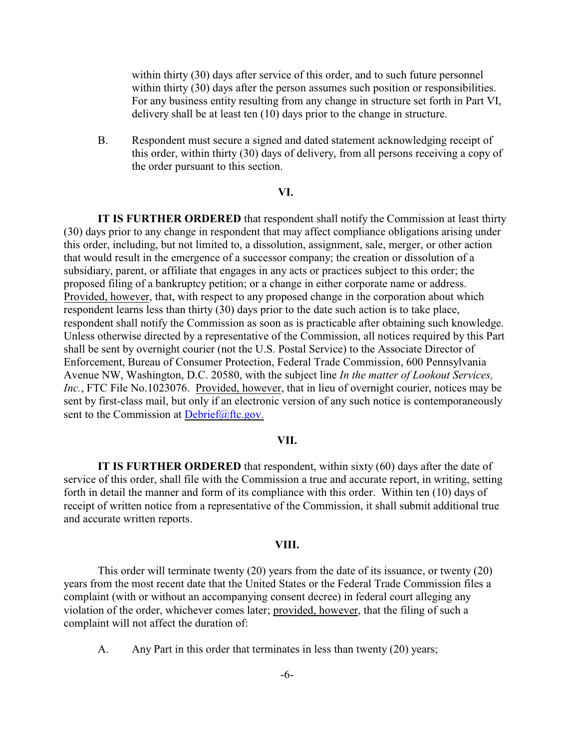within thirty (30) days after service of this order, and to such future personnel within thirty (30) days after the person assumes such position or responsibilities. For any business entity resulting from any change in structure set forth in Part VI, delivery shall be at least ten (10) days prior to the change in structure.

B. Respondent must secure a signed and dated statement acknowledging receipt of this order, within thirty (30) days of delivery, from all persons receiving a copy of the order pursuant to this section.

#### **VI.**

**IT IS FURTHER ORDERED** that respondent shall notify the Commission at least thirty (30) days prior to any change in respondent that may affect compliance obligations arising under this order, including, but not limited to, a dissolution, assignment, sale, merger, or other action that would result in the emergence of a successor company; the creation or dissolution of a subsidiary, parent, or affiliate that engages in any acts or practices subject to this order; the proposed filing of a bankruptcy petition; or a change in either corporate name or address. Provided, however, that, with respect to any proposed change in the corporation about which respondent learns less than thirty (30) days prior to the date such action is to take place, respondent shall notify the Commission as soon as is practicable after obtaining such knowledge. Unless otherwise directed by a representative of the Commission, all notices required by this Part shall be sent by overnight courier (not the U.S. Postal Service) to the Associate Director of Enforcement, Bureau of Consumer Protection, Federal Trade Commission, 600 Pennsylvania Avenue NW, Washington, D.C. 20580, with the subject line *In the matter of Lookout Services, Inc.*, FTC File No.1023076. Provided, however, that in lieu of overnight courier, notices may be sent by first-class mail, but only if an electronic version of any such notice is contemporaneously sent to the Commission at [Debrief@ftc.gov.](mailto:Debrief@ftc.gov.)

#### **VII.**

**IT IS FURTHER ORDERED** that respondent, within sixty (60) days after the date of service of this order, shall file with the Commission a true and accurate report, in writing, setting forth in detail the manner and form of its compliance with this order. Within ten (10) days of receipt of written notice from a representative of the Commission, it shall submit additional true and accurate written reports.

#### **VIII.**

This order will terminate twenty (20) years from the date of its issuance, or twenty (20) years from the most recent date that the United States or the Federal Trade Commission files a complaint (with or without an accompanying consent decree) in federal court alleging any violation of the order, whichever comes later; provided, however, that the filing of such a complaint will not affect the duration of:

A. Any Part in this order that terminates in less than twenty (20) years;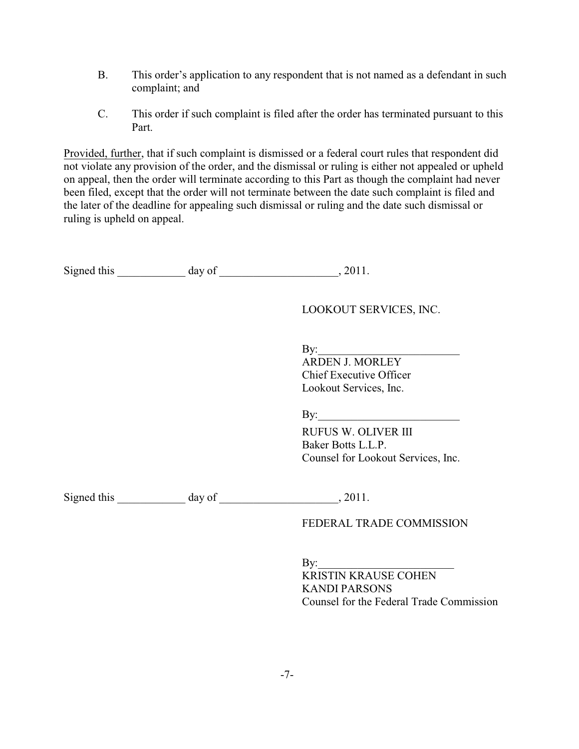- B. This order's application to any respondent that is not named as a defendant in such complaint; and
- C. This order if such complaint is filed after the order has terminated pursuant to this Part.

Provided, further, that if such complaint is dismissed or a federal court rules that respondent did not violate any provision of the order, and the dismissal or ruling is either not appealed or upheld on appeal, then the order will terminate according to this Part as though the complaint had never been filed, except that the order will not terminate between the date such complaint is filed and the later of the deadline for appealing such dismissal or ruling and the date such dismissal or ruling is upheld on appeal.

Signed this day of 3.2011.

| LOOKOUT SERVICES, INC. |
|------------------------|
|                        |

 $\mathbf{By:}$ 

 ARDEN J. MORLEY Chief Executive Officer Lookout Services, Inc.

 $\mathbf{By:}$ 

 RUFUS W. OLIVER III Baker Botts L.L.P. Counsel for Lookout Services, Inc.

Signed this day of 2011.

FEDERAL TRADE COMMISSION

 $Bv:$ KRISTIN KRAUSE COHEN KANDI PARSONS Counsel for the Federal Trade Commission